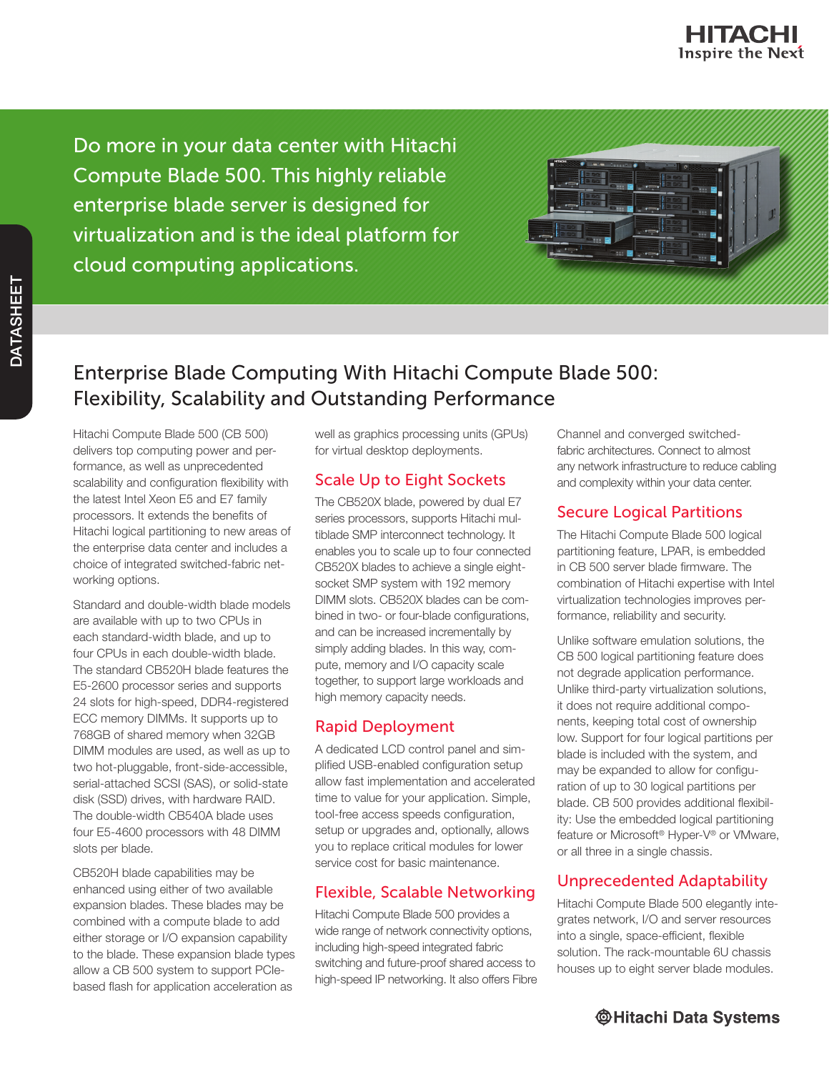

Do more in your data center with Hitachi Compute Blade 500. This highly reliable enterprise blade server is designed for virtualization and is the ideal platform for cloud computing applications.

| нписн     | Tassa?                   |            |               |    |   |
|-----------|--------------------------|------------|---------------|----|---|
| 震颤        |                          |            | c<br>8,0000   | 23 |   |
|           |                          |            | 222           | ٠  |   |
|           |                          |            | 222           |    | ٦ |
| ╤<br>1000 |                          | <u>. *</u> | 000           |    |   |
|           | 555<br><b>CONTRACTOR</b> |            | ٠<br>220<br>a |    |   |

# Enterprise Blade Computing With Hitachi Compute Blade 500: Flexibility, Scalability and Outstanding Performance

Hitachi Compute Blade 500 (CB 500) delivers top computing power and performance, as well as unprecedented scalability and configuration flexibility with the latest Intel Xeon E5 and E7 family processors. It extends the benefits of Hitachi logical partitioning to new areas of the enterprise data center and includes a choice of integrated switched-fabric networking options.

Standard and double-width blade models are available with up to two CPUs in each standard-width blade, and up to four CPUs in each double-width blade. The standard CB520H blade features the E5-2600 processor series and supports 24 slots for high-speed, DDR4-registered ECC memory DIMMs. It supports up to 768GB of shared memory when 32GB DIMM modules are used, as well as up to two hot-pluggable, front-side-accessible, serial-attached SCSI (SAS), or solid-state disk (SSD) drives, with hardware RAID. The double-width CB540A blade uses four E5-4600 processors with 48 DIMM slots per blade.

CB520H blade capabilities may be enhanced using either of two available expansion blades. These blades may be combined with a compute blade to add either storage or I/O expansion capability to the blade. These expansion blade types allow a CB 500 system to support PCIebased flash for application acceleration as

well as graphics processing units (GPUs) for virtual desktop deployments.

#### Scale Up to Eight Sockets

The CB520X blade, powered by dual E7 series processors, supports Hitachi multiblade SMP interconnect technology. It enables you to scale up to four connected CB520X blades to achieve a single eightsocket SMP system with 192 memory DIMM slots. CB520X blades can be combined in two- or four-blade configurations, and can be increased incrementally by simply adding blades. In this way, compute, memory and I/O capacity scale together, to support large workloads and high memory capacity needs.

#### Rapid Deployment

A dedicated LCD control panel and simplified USB-enabled configuration setup allow fast implementation and accelerated time to value for your application. Simple, tool-free access speeds configuration, setup or upgrades and, optionally, allows you to replace critical modules for lower service cost for basic maintenance.

## Flexible, Scalable Networking

Hitachi Compute Blade 500 provides a wide range of network connectivity options, including high-speed integrated fabric switching and future-proof shared access to high-speed IP networking. It also offers Fibre Channel and converged switchedfabric architectures. Connect to almost any network infrastructure to reduce cabling and complexity within your data center.

## Secure Logical Partitions

The Hitachi Compute Blade 500 logical partitioning feature, LPAR, is embedded in CB 500 server blade firmware. The combination of Hitachi expertise with Intel virtualization technologies improves performance, reliability and security.

Unlike software emulation solutions, the CB 500 logical partitioning feature does not degrade application performance. Unlike third-party virtualization solutions, it does not require additional components, keeping total cost of ownership low. Support for four logical partitions per blade is included with the system, and may be expanded to allow for configuration of up to 30 logical partitions per blade. CB 500 provides additional flexibility: Use the embedded logical partitioning feature or Microsoft<sup>®</sup> Hyper-V<sup>®</sup> or VMware, or all three in a single chassis.

# Unprecedented Adaptability

Hitachi Compute Blade 500 elegantly integrates network, I/O and server resources into a single, space-efficient, flexible solution. The rack-mountable 6U chassis houses up to eight server blade modules.